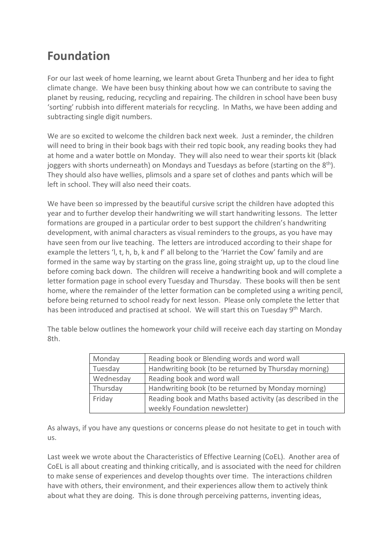## **Foundation**

For our last week of home learning, we learnt about Greta Thunberg and her idea to fight climate change. We have been busy thinking about how we can contribute to saving the planet by reusing, reducing, recycling and repairing. The children in school have been busy 'sorting' rubbish into different materials for recycling. In Maths, we have been adding and subtracting single digit numbers.

We are so excited to welcome the children back next week. Just a reminder, the children will need to bring in their book bags with their red topic book, any reading books they had at home and a water bottle on Monday. They will also need to wear their sports kit (black joggers with shorts underneath) on Mondays and Tuesdays as before (starting on the 8<sup>th</sup>). They should also have wellies, plimsols and a spare set of clothes and pants which will be left in school. They will also need their coats.

We have been so impressed by the beautiful cursive script the children have adopted this year and to further develop their handwriting we will start handwriting lessons. The letter formations are grouped in a particular order to best support the children's handwriting development, with animal characters as visual reminders to the groups, as you have may have seen from our live teaching. The letters are introduced according to their shape for example the letters 'l, t, h, b, k and f' all belong to the 'Harriet the Cow' family and are formed in the same way by starting on the grass line, going straight up, up to the cloud line before coming back down. The children will receive a handwriting book and will complete a letter formation page in school every Tuesday and Thursday. These books will then be sent home, where the remainder of the letter formation can be completed using a writing pencil, before being returned to school ready for next lesson. Please only complete the letter that has been introduced and practised at school. We will start this on Tuesday 9<sup>th</sup> March.

| Monday    | Reading book or Blending words and word wall               |
|-----------|------------------------------------------------------------|
| Tuesday   | Handwriting book (to be returned by Thursday morning)      |
| Wednesday | Reading book and word wall                                 |
| Thursday  | Handwriting book (to be returned by Monday morning)        |
| Friday    | Reading book and Maths based activity (as described in the |
|           | weekly Foundation newsletter)                              |

The table below outlines the homework your child will receive each day starting on Monday 8th.

As always, if you have any questions or concerns please do not hesitate to get in touch with us.

Last week we wrote about the Characteristics of Effective Learning (CoEL). Another area of CoEL is all about creating and thinking critically, and is associated with the need for children to make sense of experiences and develop thoughts over time. The interactions children have with others, their environment, and their experiences allow them to actively think about what they are doing. This is done through perceiving patterns, inventing ideas,